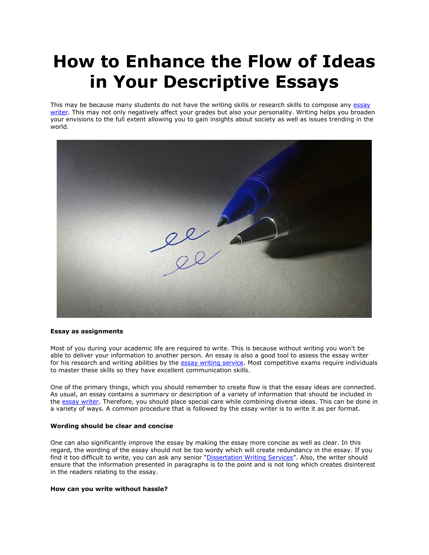## **How to Enhance the Flow of Ideas in Your Descriptive Essays**

This may be because many students do not have the writing skills or research skills to compose any essay [writer.](https://essayhours.com/) This may not only negatively affect your grades but also your personality. Writing helps you broaden your envisions to the full extent allowing you to gain insights about society as well as issues trending in the world.



## **Essay as assignments**

Most of you during your academic life are required to write. This is because without writing you won't be able to deliver your information to another person. An essay is also a good tool to assess the essay writer for his research and writing abilities by the [essay writing service.](https://www.collegeessay.org/) Most competitive exams require individuals to master these skills so they have excellent communication skills.

One of the primary things, which you should remember to create flow is that the essay ideas are connected. As usual, an essay contains a summary or description of a variety of information that should be included in the [essay writer.](https://www.essaywriter.college/) Therefore, you should place special care while combining diverse ideas. This can be done in a variety of ways. A common procedure that is followed by the essay writer is to write it as per format.

## **Wording should be clear and concise**

One can also significantly improve the essay by making the essay more concise as well as clear. In this regard, the wording of the essay should not be too wordy which will create redundancy in the essay. If you find it too difficult to write, you can ask any senior "[Dissertation Writing Services](https://gradschoolgenius.com/)". Also, the writer should ensure that the information presented in paragraphs is to the point and is not long which creates disinterest in the readers relating to the essay.

## **How can you write without hassle?**